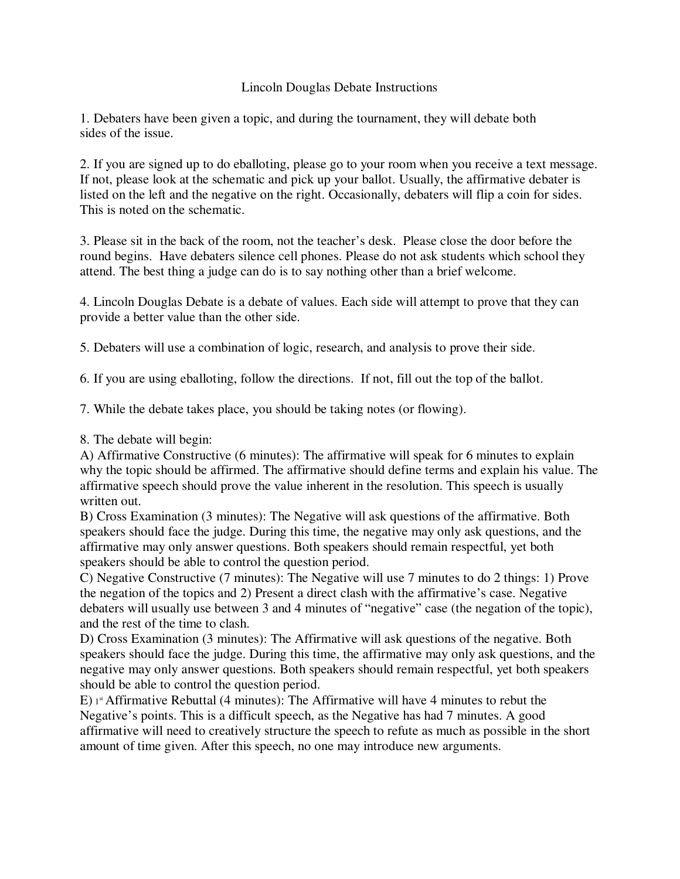## Lincoln Douglas Debate Instructions

1. Debaters have been given a topic, and during the tournament, they will debate both sides of the issue.

2. If you are signed up to do eballoting, please go to your room when you receive a text message. If not, please look at the schematic and pick up your ballot. Usually, the affirmative debater is listed on the left and the negative on the right. Occasionally, debaters will flip a coin for sides. This is noted on the schematic.

3. Please sit in the back of the room, not the teacher's desk. Please close the door before the round begins. Have debaters silence cell phones. Please do not ask students which school they attend. The best thing a judge can do is to say nothing other than a brief welcome.

4. Lincoln Douglas Debate is a debate of values. Each side will attempt to prove that they can provide a better value than the other side.

5. Debaters will use a combination of logic, research, and analysis to prove their side.

6. If you are using eballoting, follow the directions. If not, fill out the top of the ballot.

7. While the debate takes place, you should be taking notes (or flowing).

8. The debate will begin:

A) Affirmative Constructive (6 minutes): The affirmative will speak for 6 minutes to explain why the topic should be affirmed. The affirmative should define terms and explain his value. The affirmative speech should prove the value inherent in the resolution. This speech is usually written out.

B) Cross Examination (3 minutes): The Negative will ask questions of the affirmative. Both speakers should face the judge. During this time, the negative may only ask questions, and the affirmative may only answer questions. Both speakers should remain respectful, yet both speakers should be able to control the question period.

C) Negative Constructive (7 minutes): The Negative will use 7 minutes to do 2 things: 1) Prove the negation of the topics and 2) Present a direct clash with the affirmative's case. Negative debaters will usually use between 3 and 4 minutes of "negative" case (the negation of the topic), and the rest of the time to clash.

D) Cross Examination (3 minutes): The Affirmative will ask questions of the negative. Both speakers should face the judge. During this time, the affirmative may only ask questions, and the negative may only answer questions. Both speakers should remain respectful, yet both speakers should be able to control the question period.

E)  $1<sup>st</sup>$  Affirmative Rebuttal (4 minutes): The Affirmative will have 4 minutes to rebut the Negative's points. This is a difficult speech, as the Negative has had 7 minutes. A good affirmative will need to creatively structure the speech to refute as much as possible in the short amount of time given. After this speech, no one may introduce new arguments.